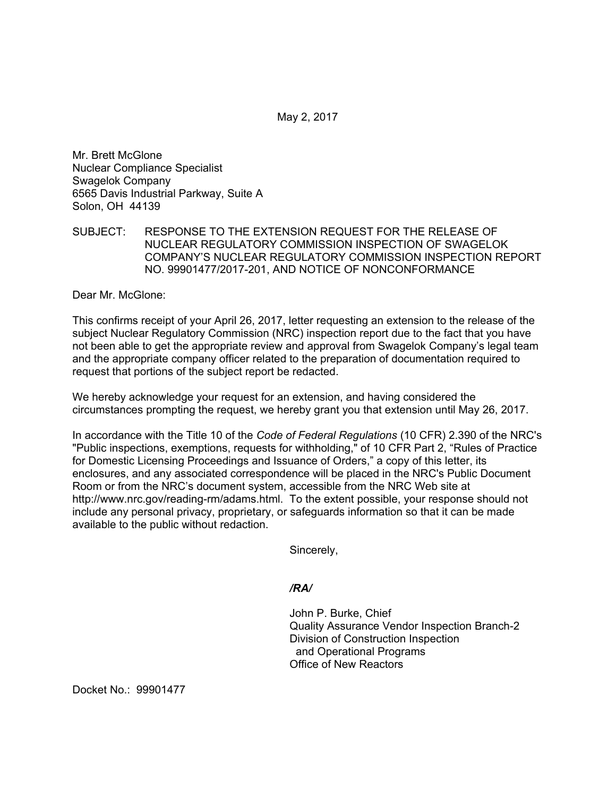May 2, 2017

Mr. Brett McGlone Nuclear Compliance Specialist Swagelok Company 6565 Davis Industrial Parkway, Suite A Solon, OH 44139

## SUBJECT: RESPONSE TO THE EXTENSION REQUEST FOR THE RELEASE OF NUCLEAR REGULATORY COMMISSION INSPECTION OF SWAGELOK COMPANY'S NUCLEAR REGULATORY COMMISSION INSPECTION REPORT NO. 99901477/2017-201, AND NOTICE OF NONCONFORMANCE

Dear Mr. McGlone:

This confirms receipt of your April 26, 2017, letter requesting an extension to the release of the subject Nuclear Regulatory Commission (NRC) inspection report due to the fact that you have not been able to get the appropriate review and approval from Swagelok Company's legal team and the appropriate company officer related to the preparation of documentation required to request that portions of the subject report be redacted.

We hereby acknowledge your request for an extension, and having considered the circumstances prompting the request, we hereby grant you that extension until May 26, 2017.

In accordance with the Title 10 of the *Code of Federal Regulations* (10 CFR) 2.390 of the NRC's "Public inspections, exemptions, requests for withholding," of 10 CFR Part 2, "Rules of Practice for Domestic Licensing Proceedings and Issuance of Orders," a copy of this letter, its enclosures, and any associated correspondence will be placed in the NRC's Public Document Room or from the NRC's document system, accessible from the NRC Web site at http://www.nrc.gov/reading-rm/adams.html. To the extent possible, your response should not include any personal privacy, proprietary, or safeguards information so that it can be made available to the public without redaction.

Sincerely,

*/RA/* 

John P. Burke, Chief Quality Assurance Vendor Inspection Branch-2 Division of Construction Inspection and Operational Programs Office of New Reactors

Docket No.: 99901477